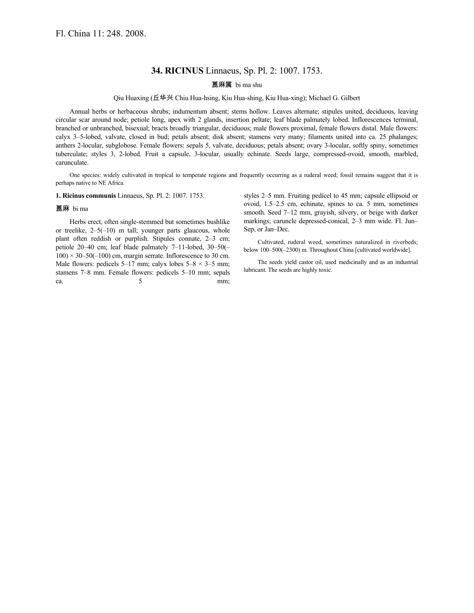# **34. RICINUS** Linnaeus, Sp. Pl. 2: 1007. 1753.

# 蓖麻属 bi ma shu

## Qiu Huaxing (丘华兴 Chiu Hua-hsing, Kiu Hua-shing, Kiu Hua-xing); Michael G. Gilbert

Annual herbs or herbaceous shrubs; indumentum absent; stems hollow. Leaves alternate; stipules united, deciduous, leaving circular scar around node; petiole long, apex with 2 glands, insertion peltate; leaf blade palmately lobed. Inflorescences terminal, branched or unbranched, bisexual; bracts broadly triangular, deciduous; male flowers proximal, female flowers distal. Male flowers: calyx 3–5-lobed, valvate, closed in bud; petals absent; disk absent; stamens very many; filaments united into ca. 25 phalanges; anthers 2-locular, subglobose. Female flowers: sepals 5, valvate, deciduous; petals absent; ovary 3-locular, softly spiny, sometimes tuberculate; styles 3, 2-lobed. Fruit a capsule, 3-locular, usually echinate. Seeds large, compressed-ovoid, smooth, marbled, carunculate.

One species: widely cultivated in tropical to temperate regions and frequently occurring as a ruderal weed; fossil remains suggest that it is perhaps native to NE Africa.

### **1. Ricinus communis** Linnaeus, Sp. Pl. 2: 1007. 1753.

#### 蓖麻 bi ma

Herbs erect, often single-stemmed but sometimes bushlike or treelike, 2–5(–10) m tall; younger parts glaucous, whole plant often reddish or purplish. Stipules connate, 2–3 cm; petiole 20–40 cm; leaf blade palmately 7–11-lobed, 30–50(–  $100 \times 30 - 50(-100)$  cm, margin serrate. Inflorescence to 30 cm. Male flowers: pedicels 5–17 mm; calyx lobes  $5-8 \times 3-5$  mm; stamens 7–8 mm. Female flowers: pedicels 5–10 mm; sepals ca.  $5$  mm; styles 2–5 mm. Fruiting pedicel to 45 mm; capsule ellipsoid or ovoid, 1.5–2.5 cm, echinate, spines to ca. 5 mm, sometimes smooth. Seed 7–12 mm, grayish, silvery, or beige with darker markings; caruncle depressed-conical, 2–3 mm wide. Fl. Jun– Sep, or Jan–Dec.

Cultivated, ruderal weed, sometimes naturalized in riverbeds; below 100–500(–2300) m. Throughout China [cultivated worldwide].

The seeds yield castor oil, used medicinally and as an industrial lubricant. The seeds are highly toxic.